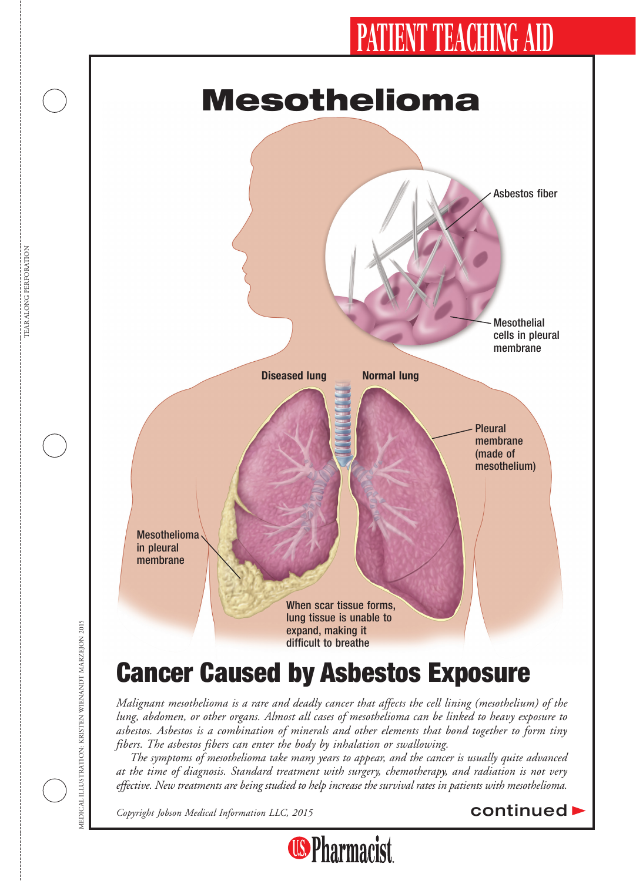# IENT TEACHING AI



*Malignant mesothelioma is a rare and deadly cancer that affects the cell lining (mesothelium) of the lung, abdomen, or other organs. Almost all cases of mesothelioma can be linked to heavy exposure to asbestos. Asbestos is a combination of minerals and other elements that bond together to form tiny fibers. The asbestos fibers can enter the body by inhalation or swallowing.*

*The symptoms of mesothelioma take many years to appear, and the cancer is usually quite advanced at the time of diagnosis. Standard treatment with surgery, chemotherapy, and radiation is not very effective. New treatments are being studied to help increase the survival rates in patients with mesothelioma.*

**Copyright Jobson Medical Information LLC, 2015** continued **b**